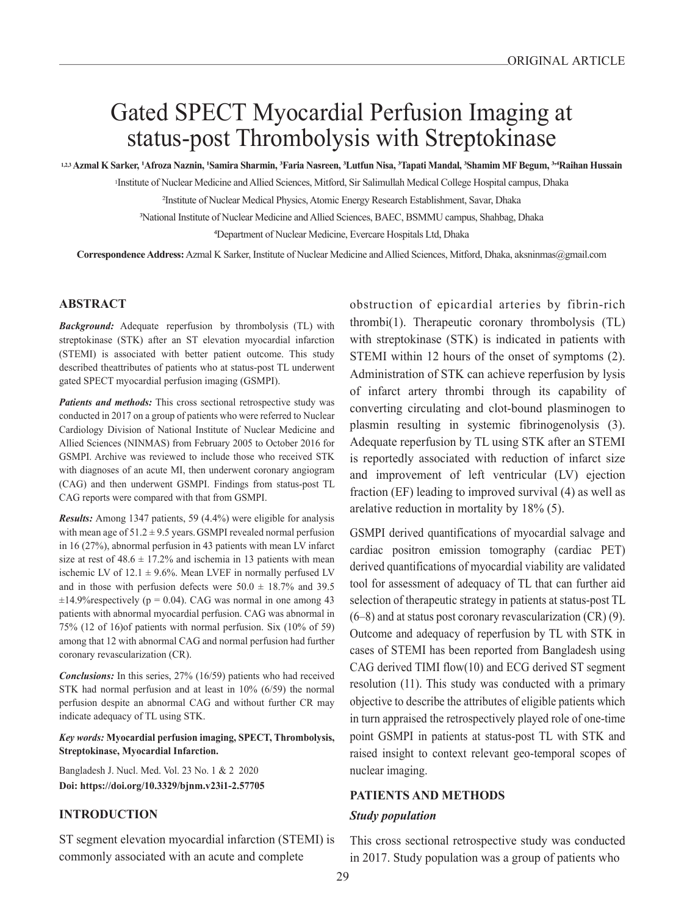# Gated SPECT Myocardial Perfusion Imaging at status-post Thrombolysis with Streptokinase

123 Azmal K Sarker, 1Afroza Naznin, 1Samira Sharmin, 3Faria Nasreen, 3Lutfun Nisa, 3Tapati Mandal, 3Shamim MF Begum, 3×4Raihan Hussain

1Institute of Nuclear Medicine and Allied Sciences, Mitford, Sir Salimullah Medical College Hospital campus, Dhaka

<sup>2</sup>Institute of Nuclear Medical Physics, Atomic Energy Research Establishment, Savar, Dhaka

<sup>3</sup>National Institute of Nuclear Medicine and Allied Sciences, BAEC, BSMMU campus, Shahbag, Dhaka

<sup>4</sup>Department of Nuclear Medicine, Evercare Hospitals Ltd, Dhaka

**Correspondence Address:** Azmal K Sarker, Institute of Nuclear Medicine and Allied Sciences, Mitford, Dhaka, aksninmas@gmail.com

# **ABSTRACT**

*Background:* Adequate reperfusion by thrombolysis (TL) with streptokinase (STK) after an ST elevation myocardial infarction (STEMI) is associated with better patient outcome. This study described theattributes of patients who at status-post TL underwent gated SPECT myocardial perfusion imaging (GSMPI).

*Patients and methods:* This cross sectional retrospective study was conducted in 2017 on a group of patients who were referred to Nuclear Cardiology Division of National Institute of Nuclear Medicine and Allied Sciences (NINMAS) from February 2005 to October 2016 for GSMPI. Archive was reviewed to include those who received STK with diagnoses of an acute MI, then underwent coronary angiogram (CAG) and then underwent GSMPI. Findings from status-post TL CAG reports were compared with that from GSMPI.

*Results:* Among 1347 patients, 59 (4.4%) were eligible for analysis with mean age of  $51.2 \pm 9.5$  years. GSMPI revealed normal perfusion in 16 (27%), abnormal perfusion in 43 patients with mean LV infarct size at rest of  $48.6 \pm 17.2\%$  and ischemia in 13 patients with mean ischemic LV of  $12.1 \pm 9.6\%$ . Mean LVEF in normally perfused LV and in those with perfusion defects were  $50.0 \pm 18.7\%$  and 39.5  $\pm$ 14.9% respectively (p = 0.04). CAG was normal in one among 43 patients with abnormal myocardial perfusion. CAG was abnormal in 75% (12 of 16)of patients with normal perfusion. Six (10% of 59) among that 12 with abnormal CAG and normal perfusion had further coronary revascularization (CR).

*Conclusions:* In this series, 27% (16/59) patients who had received STK had normal perfusion and at least in 10% (6/59) the normal perfusion despite an abnormal CAG and without further CR may indicate adequacy of TL using STK.

*Key words:* **Myocardial perfusion imaging, SPECT, Thrombolysis, Streptokinase, Myocardial Infarction.**

Bangladesh J. Nucl. Med. Vol. 23 No. 1 & 2 2020 **Doi: https://doi.org/10.3329/bjnm.v23i1-2.57705** 

# **INTRODUCTION**

ST segment elevation myocardial infarction (STEMI) is commonly associated with an acute and complete

obstruction of epicardial arteries by fibrin-rich thrombi(1). Therapeutic coronary thrombolysis (TL) with streptokinase (STK) is indicated in patients with STEMI within 12 hours of the onset of symptoms (2). Administration of STK can achieve reperfusion by lysis of infarct artery thrombi through its capability of converting circulating and clot-bound plasminogen to plasmin resulting in systemic fibrinogenolysis (3). Adequate reperfusion by TL using STK after an STEMI is reportedly associated with reduction of infarct size and improvement of left ventricular (LV) ejection fraction (EF) leading to improved survival (4) as well as arelative reduction in mortality by 18% (5).

GSMPI derived quantifications of myocardial salvage and cardiac positron emission tomography (cardiac PET) derived quantifications of myocardial viability are validated tool for assessment of adequacy of TL that can further aid selection of therapeutic strategy in patients at status-post TL  $(6–8)$  and at status post coronary revascularization  $(CR)$   $(9)$ . Outcome and adequacy of reperfusion by TL with STK in cases of STEMI has been reported from Bangladesh using CAG derived TIMI flow(10) and ECG derived ST segment resolution (11). This study was conducted with a primary objective to describe the attributes of eligible patients which in turn appraised the retrospectively played role of one-time point GSMPI in patients at status-post TL with STK and raised insight to context relevant geo-temporal scopes of nuclear imaging.

# **PATIENTS AND METHODS**

# *Study population*

This cross sectional retrospective study was conducted in 2017. Study population was a group of patients who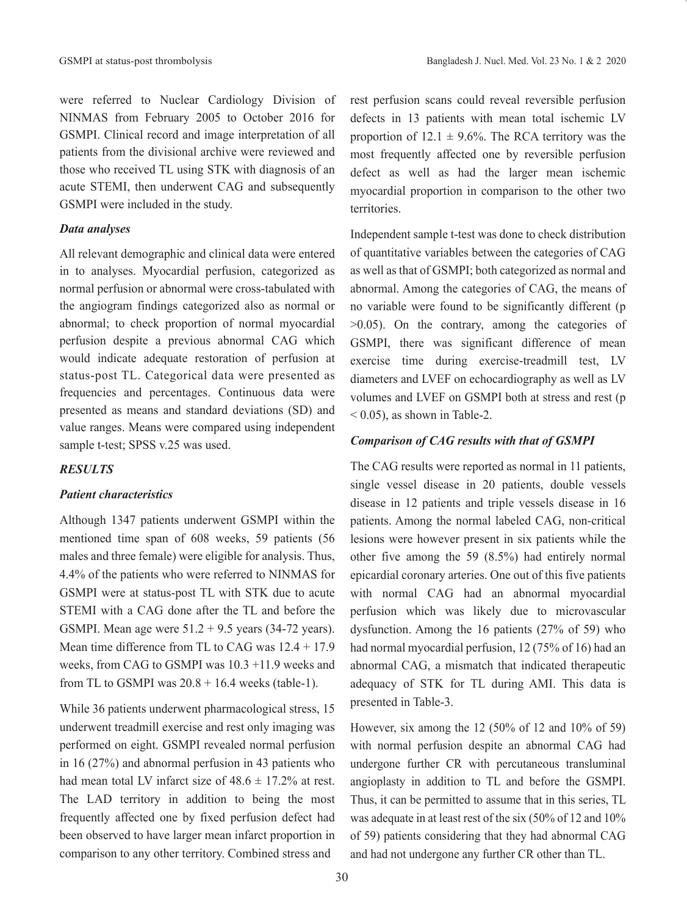were referred to Nuclear Cardiology Division of NINMAS from February 2005 to October 2016 for GSMPI. Clinical record and image interpretation of all patients from the divisional archive were reviewed and those who received TL using STK with diagnosis of an acute STEMI, then underwent CAG and subsequently GSMPI were included in the study.

# *Data analyses*

All relevant demographic and clinical data were entered in to analyses. Myocardial perfusion, categorized as normal perfusion or abnormal were cross-tabulated with the angiogram findings categorized also as normal or abnormal; to check proportion of normal myocardial perfusion despite a previous abnormal CAG which would indicate adequate restoration of perfusion at status-post TL. Categorical data were presented as frequencies and percentages. Continuous data were presented as means and standard deviations (SD) and value ranges. Means were compared using independent sample t-test; SPSS v.25 was used.

#### *RESULTS*

# *Patient characteristics*

Although 1347 patients underwent GSMPI within the mentioned time span of 608 weeks, 59 patients (56 males and three female) were eligible for analysis. Thus, 4.4% of the patients who were referred to NINMAS for GSMPI were at status-post TL with STK due to acute STEMI with a CAG done after the TL and before the GSMPI. Mean age were  $51.2 + 9.5$  years (34-72 years). Mean time difference from TL to CAG was 12.4 + 17.9 weeks, from CAG to GSMPI was 10.3 +11.9 weeks and from TL to GSMPI was  $20.8 + 16.4$  weeks (table-1).

While 36 patients underwent pharmacological stress, 15 underwent treadmill exercise and rest only imaging was performed on eight. GSMPI revealed normal perfusion in 16 (27%) and abnormal perfusion in 43 patients who had mean total LV infarct size of  $48.6 \pm 17.2\%$  at rest. The LAD territory in addition to being the most frequently affected one by fixed perfusion defect had been observed to have larger mean infarct proportion in comparison to any other territory. Combined stress and

rest perfusion scans could reveal reversible perfusion defects in 13 patients with mean total ischemic LV proportion of  $12.1 \pm 9.6\%$ . The RCA territory was the most frequently affected one by reversible perfusion defect as well as had the larger mean ischemic myocardial proportion in comparison to the other two territories.

Independent sample t-test was done to check distribution of quantitative variables between the categories of CAG as well as that of GSMPI; both categorized as normal and abnormal. Among the categories of CAG, the means of no variable were found to be significantly different (p >0.05). On the contrary, among the categories of GSMPI, there was significant difference of mean exercise time during exercise-treadmill test, LV diameters and LVEF on echocardiography as well as LV volumes and LVEF on GSMPI both at stress and rest (p  $<$  0.05), as shown in Table-2.

#### *Comparison of CAG results with that of GSMPI*

The CAG results were reported as normal in 11 patients, single vessel disease in 20 patients, double vessels disease in 12 patients and triple vessels disease in 16 patients. Among the normal labeled CAG, non-critical lesions were however present in six patients while the other five among the 59 (8.5%) had entirely normal epicardial coronary arteries. One out of this five patients with normal CAG had an abnormal myocardial perfusion which was likely due to microvascular dysfunction. Among the 16 patients (27% of 59) who had normal myocardial perfusion, 12 (75% of 16) had an abnormal CAG, a mismatch that indicated therapeutic adequacy of STK for TL during AMI. This data is presented in Table-3.

However, six among the 12 (50% of 12 and 10% of 59) with normal perfusion despite an abnormal CAG had undergone further CR with percutaneous transluminal angioplasty in addition to TL and before the GSMPI. Thus, it can be permitted to assume that in this series, TL was adequate in at least rest of the six (50% of 12 and 10% of 59) patients considering that they had abnormal CAG and had not undergone any further CR other than TL.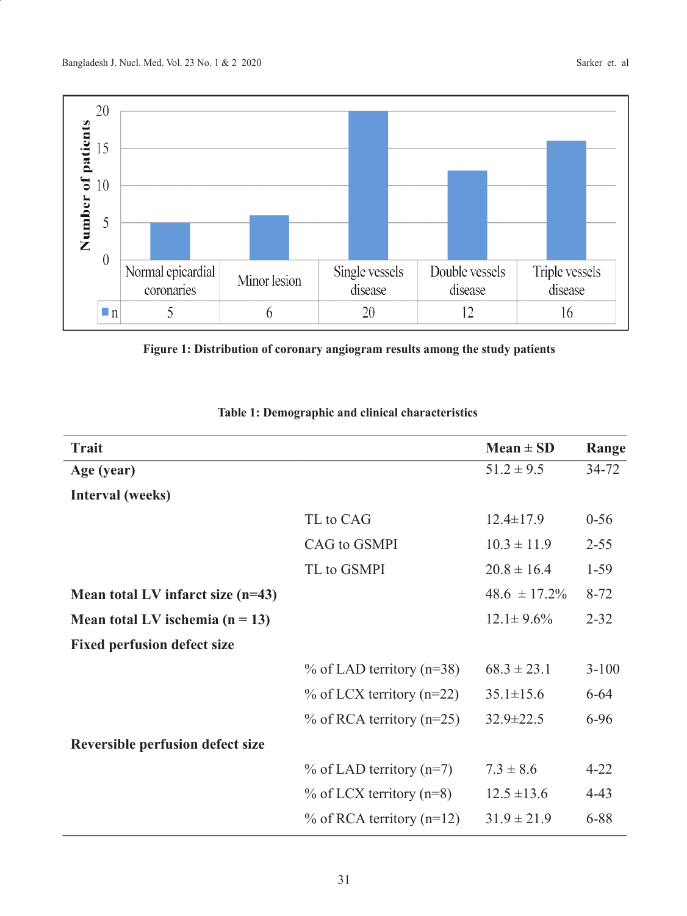

**Figure 1: Distribution of coronary angiogram results among the study patients**

| <b>Trait</b>                       |                              | $Mean \pm SD$     | Range     |
|------------------------------------|------------------------------|-------------------|-----------|
| Age (year)                         |                              | $51.2 \pm 9.5$    | $34 - 72$ |
| Interval (weeks)                   |                              |                   |           |
|                                    | TL to CAG                    | $12.4 \pm 17.9$   | $0 - 56$  |
|                                    | CAG to GSMPI                 | $10.3 \pm 11.9$   | $2 - 55$  |
|                                    | TL to GSMPI                  | $20.8 \pm 16.4$   | $1-59$    |
| Mean total LV infarct size (n=43)  |                              | $48.6 \pm 17.2\%$ | $8 - 72$  |
| Mean total LV ischemia $(n = 13)$  |                              | $12.1 \pm 9.6\%$  | $2 - 32$  |
| <b>Fixed perfusion defect size</b> |                              |                   |           |
|                                    | $\%$ of LAD territory (n=38) | $68.3 \pm 23.1$   | $3 - 100$ |
|                                    | $\%$ of LCX territory (n=22) | $35.1 \pm 15.6$   | $6 - 64$  |
|                                    | $\%$ of RCA territory (n=25) | $32.9 \pm 22.5$   | $6-96$    |
| Reversible perfusion defect size   |                              |                   |           |
|                                    | $\%$ of LAD territory (n=7)  | $7.3 \pm 8.6$     | $4 - 22$  |
|                                    | $\%$ of LCX territory (n=8)  | $12.5 \pm 13.6$   | $4 - 43$  |
|                                    | $\%$ of RCA territory (n=12) | $31.9 \pm 21.9$   | 6-88      |
|                                    |                              |                   |           |

**Table 1: Demographic and clinical characteristics**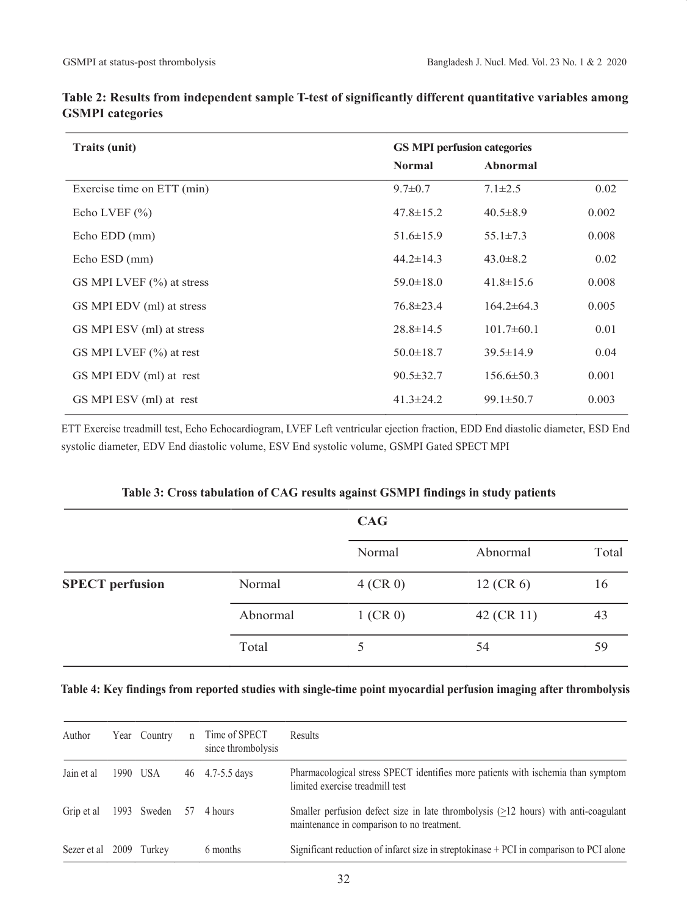| <b>Traits (unit)</b>          | <b>GS MPI perfusion categories</b> |                  |       |  |
|-------------------------------|------------------------------------|------------------|-------|--|
|                               | <b>Normal</b>                      | <b>Abnormal</b>  |       |  |
| Exercise time on ETT (min)    | $9.7 \pm 0.7$                      | $7.1 \pm 2.5$    | 0.02  |  |
| Echo LVEF $(\% )$             | $47.8 \pm 15.2$                    | $40.5 \pm 8.9$   | 0.002 |  |
| Echo EDD (mm)                 | $51.6 \pm 15.9$                    | $55.1 \pm 7.3$   | 0.008 |  |
| Echo ESD (mm)                 | $44.2 \pm 14.3$                    | $43.0 \pm 8.2$   | 0.02  |  |
| GS MPI LVEF $(\% )$ at stress | $59.0 \pm 18.0$                    | $41.8 \pm 15.6$  | 0.008 |  |
| GS MPI EDV (ml) at stress     | $76.8 \pm 23.4$                    | $164.2 \pm 64.3$ | 0.005 |  |
| GS MPI ESV (ml) at stress     | $28.8 \pm 14.5$                    | $101.7\pm 60.1$  | 0.01  |  |
| GS MPI LVEF $(\% )$ at rest   | $50.0 \pm 18.7$                    | $39.5 \pm 14.9$  | 0.04  |  |
| GS MPI EDV (ml) at rest       | $90.5 \pm 32.7$                    | $156.6 \pm 50.3$ | 0.001 |  |
| GS MPI ESV (ml) at rest       | $41.3 \pm 24.2$                    | $99.1 \pm 50.7$  | 0.003 |  |

**Table 2: Results from independent sample T-test of significantly different quantitative variables among GSMPI categories**

ETT Exercise treadmill test, Echo Echocardiogram, LVEF Left ventricular ejection fraction, EDD End diastolic diameter, ESD End systolic diameter, EDV End diastolic volume, ESV End systolic volume, GSMPI Gated SPECT MPI

|                        | Table 5: Cross tabulation of CAG results against GSMTT midlings in study patients |            |             |       |  |  |
|------------------------|-----------------------------------------------------------------------------------|------------|-------------|-------|--|--|
|                        |                                                                                   | <b>CAG</b> |             |       |  |  |
|                        |                                                                                   | Normal     | Abnormal    | Total |  |  |
| <b>SPECT</b> perfusion | Normal                                                                            | $4$ (CR 0) | $12$ (CR 6) | 16    |  |  |
|                        | Abnormal                                                                          | $1$ (CR 0) | 42 (CR 11)  | 43    |  |  |
|                        | Total                                                                             |            | 54          | 59    |  |  |

# **Table 3: Cross tabulation of CAG results against GSMPI findings in study patients**

# **Table 4: Key findings from reported studies with single-time point myocardial perfusion imaging after thrombolysis**

| Author                    | Year Country | n | Time of SPECT<br>since thrombolysis | Results                                                                                                                            |
|---------------------------|--------------|---|-------------------------------------|------------------------------------------------------------------------------------------------------------------------------------|
| Jain et al                | 1990 USA     |   | 46 4.7-5.5 days                     | Pharmacological stress SPECT identifies more patients with ischemia than symptom<br>limited exercise treadmill test                |
| Grip et al 1993 Sweden 57 |              |   | 4 hours                             | Smaller perfusion defect size in late thrombolysis $(≥12$ hours) with anti-coagulant<br>maintenance in comparison to no treatment. |
| Sezer et al 2009          | Turkev       |   | 6 months                            | Significant reduction of infarct size in streptokinase + PCI in comparison to PCI alone                                            |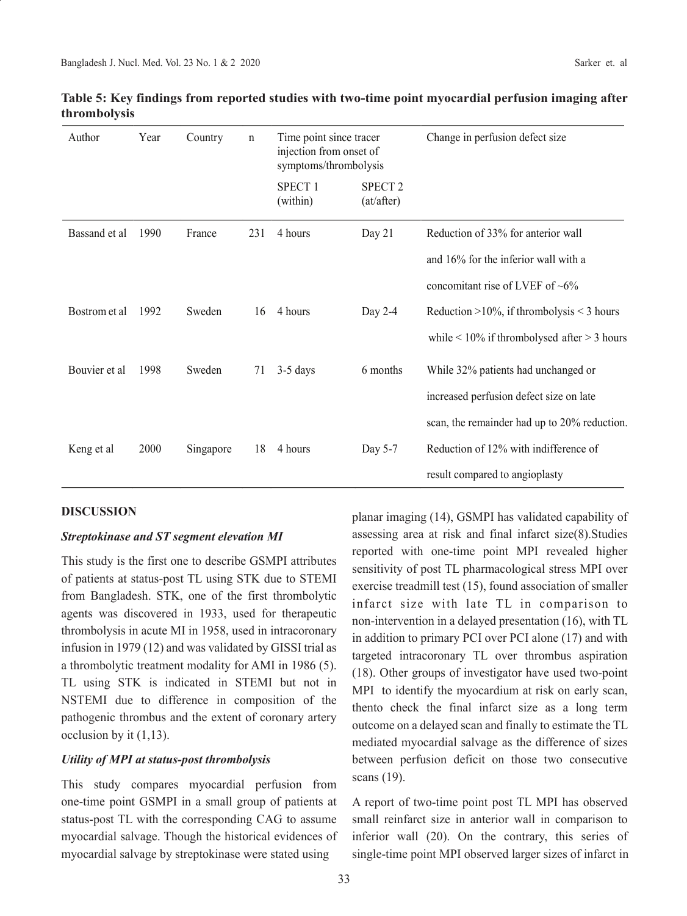| Author        | Year | Country   | $\mathbf n$ | Time point since tracer<br>injection from onset of<br>symptoms/thrombolysis |                              | Change in perfusion defect size                     |
|---------------|------|-----------|-------------|-----------------------------------------------------------------------------|------------------------------|-----------------------------------------------------|
|               |      |           |             | SPECT <sub>1</sub><br>(within)                                              | <b>SPECT 2</b><br>(at/after) |                                                     |
| Bassand et al | 1990 | France    | 231         | 4 hours                                                                     | Day $21$                     | Reduction of 33% for anterior wall                  |
|               |      |           |             |                                                                             |                              | and 16% for the inferior wall with a                |
|               |      |           |             |                                                                             |                              | concomitant rise of LVEF of $~6\%$                  |
| Bostrom et al | 1992 | Sweden    | 16          | 4 hours                                                                     | Day 2-4                      | Reduction $>10\%$ , if thrombolysis $<$ 3 hours     |
|               |      |           |             |                                                                             |                              | while $\leq 10\%$ if thrombolysed after $> 3$ hours |
| Bouvier et al | 1998 | Sweden    | 71          | $3-5$ days                                                                  | 6 months                     | While 32% patients had unchanged or                 |
|               |      |           |             |                                                                             |                              | increased perfusion defect size on late             |
|               |      |           |             |                                                                             |                              | scan, the remainder had up to 20% reduction.        |
| Keng et al    | 2000 | Singapore | 18          | 4 hours                                                                     | Day 5-7                      | Reduction of 12% with indifference of               |
|               |      |           |             |                                                                             |                              | result compared to angioplasty                      |

# **Table 5: Key findings from reported studies with two-time point myocardial perfusion imaging after thrombolysis**

# **DISCUSSION**

# *Streptokinase and ST segment elevation MI*

This study is the first one to describe GSMPI attributes of patients at status-post TL using STK due to STEMI from Bangladesh. STK, one of the first thrombolytic agents was discovered in 1933, used for therapeutic thrombolysis in acute MI in 1958, used in intracoronary infusion in 1979 (12) and was validated by GISSI trial as a thrombolytic treatment modality for AMI in 1986 (5). TL using STK is indicated in STEMI but not in NSTEMI due to difference in composition of the pathogenic thrombus and the extent of coronary artery occlusion by it (1,13).

# *Utility of MPI at status-post thrombolysis*

This study compares myocardial perfusion from one-time point GSMPI in a small group of patients at status-post TL with the corresponding CAG to assume myocardial salvage. Though the historical evidences of myocardial salvage by streptokinase were stated using

planar imaging (14), GSMPI has validated capability of assessing area at risk and final infarct size(8).Studies reported with one-time point MPI revealed higher sensitivity of post TL pharmacological stress MPI over exercise treadmill test (15), found association of smaller infarct size with late TL in comparison to non-intervention in a delayed presentation (16), with TL in addition to primary PCI over PCI alone (17) and with targeted intracoronary TL over thrombus aspiration (18). Other groups of investigator have used two-point MPI to identify the myocardium at risk on early scan, thento check the final infarct size as a long term outcome on a delayed scan and finally to estimate the TL mediated myocardial salvage as the difference of sizes between perfusion deficit on those two consecutive scans (19).

A report of two-time point post TL MPI has observed small reinfarct size in anterior wall in comparison to inferior wall (20). On the contrary, this series of single-time point MPI observed larger sizes of infarct in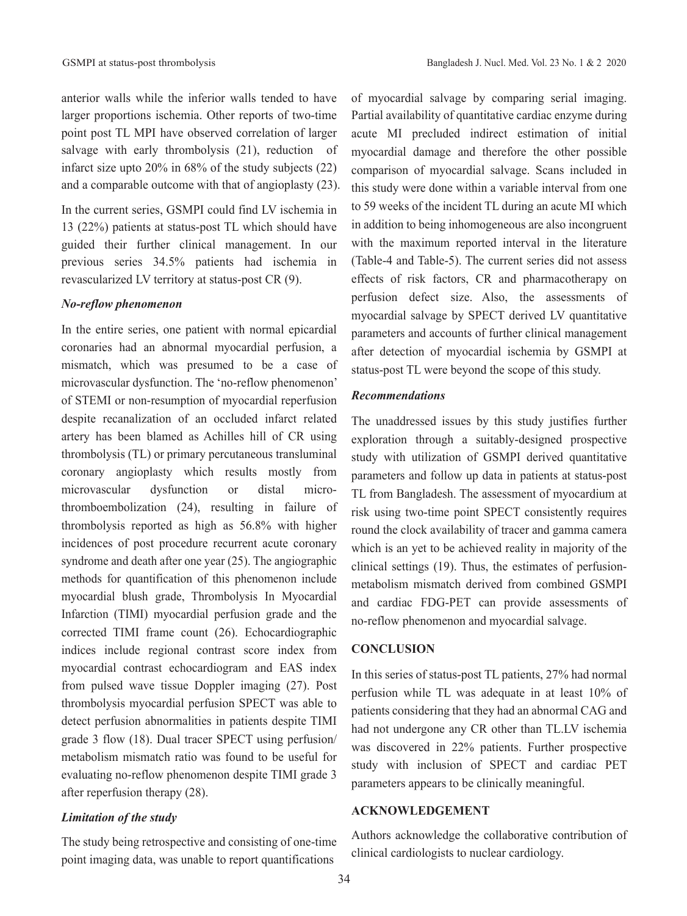anterior walls while the inferior walls tended to have larger proportions ischemia. Other reports of two-time point post TL MPI have observed correlation of larger salvage with early thrombolysis (21), reduction of infarct size upto 20% in 68% of the study subjects (22) and a comparable outcome with that of angioplasty (23).

In the current series, GSMPI could find LV ischemia in 13 (22%) patients at status-post TL which should have guided their further clinical management. In our previous series 34.5% patients had ischemia in revascularized LV territory at status-post CR (9).

#### *No-reflow phenomenon*

In the entire series, one patient with normal epicardial coronaries had an abnormal myocardial perfusion, a mismatch, which was presumed to be a case of microvascular dysfunction. The 'no-reflow phenomenon' of STEMI or non-resumption of myocardial reperfusion despite recanalization of an occluded infarct related artery has been blamed as Achilles hill of CR using thrombolysis (TL) or primary percutaneous transluminal coronary angioplasty which results mostly from microvascular dysfunction or distal microthromboembolization (24), resulting in failure of thrombolysis reported as high as 56.8% with higher incidences of post procedure recurrent acute coronary syndrome and death after one year (25). The angiographic methods for quantification of this phenomenon include myocardial blush grade, Thrombolysis In Myocardial Infarction (TIMI) myocardial perfusion grade and the corrected TIMI frame count (26). Echocardiographic indices include regional contrast score index from myocardial contrast echocardiogram and EAS index from pulsed wave tissue Doppler imaging (27). Post thrombolysis myocardial perfusion SPECT was able to detect perfusion abnormalities in patients despite TIMI grade 3 flow (18). Dual tracer SPECT using perfusion/ metabolism mismatch ratio was found to be useful for evaluating no-reflow phenomenon despite TIMI grade 3 after reperfusion therapy (28).

# *Limitation of the study*

The study being retrospective and consisting of one-time point imaging data, was unable to report quantifications

of myocardial salvage by comparing serial imaging. Partial availability of quantitative cardiac enzyme during acute MI precluded indirect estimation of initial myocardial damage and therefore the other possible comparison of myocardial salvage. Scans included in this study were done within a variable interval from one to 59 weeks of the incident TL during an acute MI which in addition to being inhomogeneous are also incongruent with the maximum reported interval in the literature (Table-4 and Table-5). The current series did not assess effects of risk factors, CR and pharmacotherapy on perfusion defect size. Also, the assessments of myocardial salvage by SPECT derived LV quantitative parameters and accounts of further clinical management after detection of myocardial ischemia by GSMPI at status-post TL were beyond the scope of this study.

# *Recommendations*

The unaddressed issues by this study justifies further exploration through a suitably-designed prospective study with utilization of GSMPI derived quantitative parameters and follow up data in patients at status-post TL from Bangladesh. The assessment of myocardium at risk using two-time point SPECT consistently requires round the clock availability of tracer and gamma camera which is an yet to be achieved reality in majority of the clinical settings (19). Thus, the estimates of perfusionmetabolism mismatch derived from combined GSMPI and cardiac FDG-PET can provide assessments of no-reflow phenomenon and myocardial salvage.

# **CONCLUSION**

In this series of status-post TL patients, 27% had normal perfusion while TL was adequate in at least 10% of patients considering that they had an abnormal CAG and had not undergone any CR other than TL.LV ischemia was discovered in 22% patients. Further prospective study with inclusion of SPECT and cardiac PET parameters appears to be clinically meaningful.

# **ACKNOWLEDGEMENT**

Authors acknowledge the collaborative contribution of clinical cardiologists to nuclear cardiology.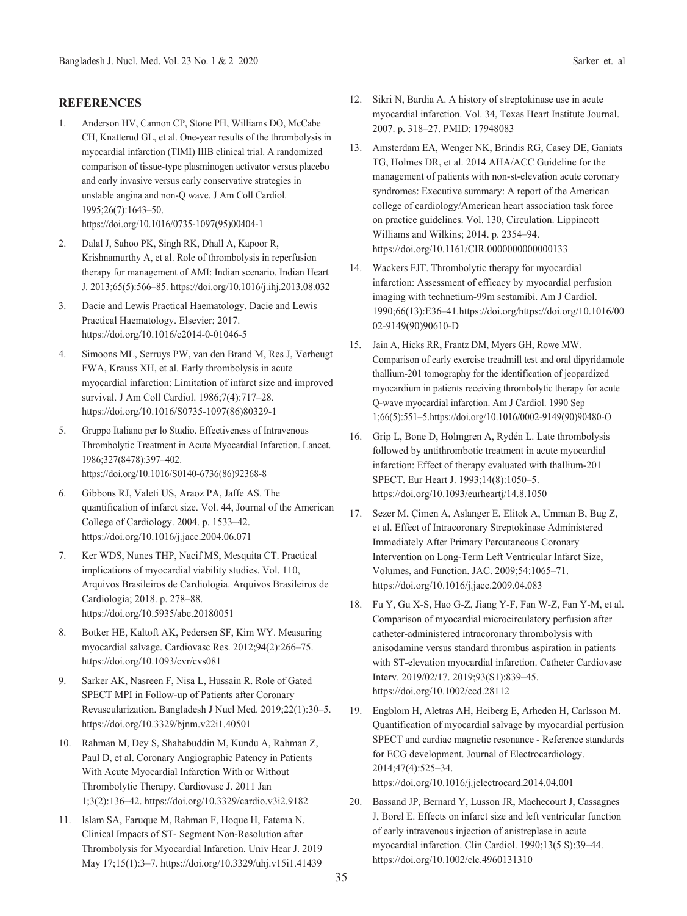#### **REFERENCES**

- 1. Anderson HV, Cannon CP, Stone PH, Williams DO, McCabe CH, Knatterud GL, et al. One-year results of the thrombolysis in myocardial infarction (TIMI) IIIB clinical trial. A randomized comparison of tissue-type plasminogen activator versus placebo and early invasive versus early conservative strategies in unstable angina and non-Q wave. J Am Coll Cardiol. 1995;26(7):1643–50. https://doi.org/10.1016/0735-1097(95)00404-1
- 2. Dalal J, Sahoo PK, Singh RK, Dhall A, Kapoor R, Krishnamurthy A, et al. Role of thrombolysis in reperfusion therapy for management of AMI: Indian scenario. Indian Heart J. 2013;65(5):566–85. https://doi.org/10.1016/j.ihj.2013.08.032
- 3. Dacie and Lewis Practical Haematology. Dacie and Lewis Practical Haematology. Elsevier; 2017. https://doi.org/10.1016/c2014-0-01046-5
- 4. Simoons ML, Serruys PW, van den Brand M, Res J, Verheugt FWA, Krauss XH, et al. Early thrombolysis in acute myocardial infarction: Limitation of infarct size and improved survival. J Am Coll Cardiol. 1986;7(4):717–28. https://doi.org/10.1016/S0735-1097(86)80329-1
- 5. Gruppo Italiano per lo Studio. Effectiveness of Intravenous Thrombolytic Treatment in Acute Myocardial Infarction. Lancet. 1986;327(8478):397–402. https://doi.org/10.1016/S0140-6736(86)92368-8
- 6. Gibbons RJ, Valeti US, Araoz PA, Jaffe AS. The quantification of infarct size. Vol. 44, Journal of the American College of Cardiology. 2004. p. 1533–42. https://doi.org/10.1016/j.jacc.2004.06.071
- 7. Ker WDS, Nunes THP, Nacif MS, Mesquita CT. Practical implications of myocardial viability studies. Vol. 110, Arquivos Brasileiros de Cardiologia. Arquivos Brasileiros de Cardiologia; 2018. p. 278–88. https://doi.org/10.5935/abc.20180051
- 8. Botker HE, Kaltoft AK, Pedersen SF, Kim WY. Measuring myocardial salvage. Cardiovasc Res. 2012;94(2):266–75. https://doi.org/10.1093/cvr/cvs081
- 9. Sarker AK, Nasreen F, Nisa L, Hussain R. Role of Gated SPECT MPI in Follow-up of Patients after Coronary Revascularization. Bangladesh J Nucl Med. 2019;22(1):30–5. https://doi.org/10.3329/bjnm.v22i1.40501
- 10. Rahman M, Dey S, Shahabuddin M, Kundu A, Rahman Z, Paul D, et al. Coronary Angiographic Patency in Patients With Acute Myocardial Infarction With or Without Thrombolytic Therapy. Cardiovasc J. 2011 Jan 1;3(2):136–42. https://doi.org/10.3329/cardio.v3i2.9182
- 11. Islam SA, Faruque M, Rahman F, Hoque H, Fatema N. Clinical Impacts of ST- Segment Non-Resolution after Thrombolysis for Myocardial Infarction. Univ Hear J. 2019 May 17;15(1):3–7. https://doi.org/10.3329/uhj.v15i1.41439
- 12. Sikri N, Bardia A. A history of streptokinase use in acute myocardial infarction. Vol. 34, Texas Heart Institute Journal. 2007. p. 318–27. PMID: 17948083
- 13. Amsterdam EA, Wenger NK, Brindis RG, Casey DE, Ganiats TG, Holmes DR, et al. 2014 AHA/ACC Guideline for the management of patients with non-st-elevation acute coronary syndromes: Executive summary: A report of the American college of cardiology/American heart association task force on practice guidelines. Vol. 130, Circulation. Lippincott Williams and Wilkins; 2014. p. 2354–94. https://doi.org/10.1161/CIR.0000000000000133
- 14. Wackers FJT. Thrombolytic therapy for myocardial infarction: Assessment of efficacy by myocardial perfusion imaging with technetium-99m sestamibi. Am J Cardiol. 1990;66(13):E36–41.https://doi.org/https://doi.org/10.1016/00 02-9149(90)90610-D
- 15. Jain A, Hicks RR, Frantz DM, Myers GH, Rowe MW. Comparison of early exercise treadmill test and oral dipyridamole thallium-201 tomography for the identification of jeopardized myocardium in patients receiving thrombolytic therapy for acute Q-wave myocardial infarction. Am J Cardiol. 1990 Sep 1;66(5):551–5.https://doi.org/10.1016/0002-9149(90)90480-O
- 16. Grip L, Bone D, Holmgren A, Rydén L. Late thrombolysis followed by antithrombotic treatment in acute myocardial infarction: Effect of therapy evaluated with thallium-201 SPECT. Eur Heart J. 1993;14(8):1050–5. https://doi.org/10.1093/eurheartj/14.8.1050
- 17. Sezer M, Çimen A, Aslanger E, Elitok A, Umman B, Bug Z, et al. Effect of Intracoronary Streptokinase Administered Immediately After Primary Percutaneous Coronary Intervention on Long-Term Left Ventricular Infarct Size, Volumes, and Function. JAC. 2009;54:1065–71. https://doi.org/10.1016/j.jacc.2009.04.083
- 18. Fu Y, Gu X-S, Hao G-Z, Jiang Y-F, Fan W-Z, Fan Y-M, et al. Comparison of myocardial microcirculatory perfusion after catheter-administered intracoronary thrombolysis with anisodamine versus standard thrombus aspiration in patients with ST-elevation myocardial infarction. Catheter Cardiovasc Interv. 2019/02/17. 2019;93(S1):839–45. https://doi.org/10.1002/ccd.28112
- 19. Engblom H, Aletras AH, Heiberg E, Arheden H, Carlsson M. Quantification of myocardial salvage by myocardial perfusion SPECT and cardiac magnetic resonance - Reference standards for ECG development. Journal of Electrocardiology. 2014;47(4):525–34. https://doi.org/10.1016/j.jelectrocard.2014.04.001
- 20. Bassand JP, Bernard Y, Lusson JR, Machecourt J, Cassagnes J, Borel E. Effects on infarct size and left ventricular function of early intravenous injection of anistreplase in acute myocardial infarction. Clin Cardiol. 1990;13(5 S):39–44. https://doi.org/10.1002/clc.4960131310